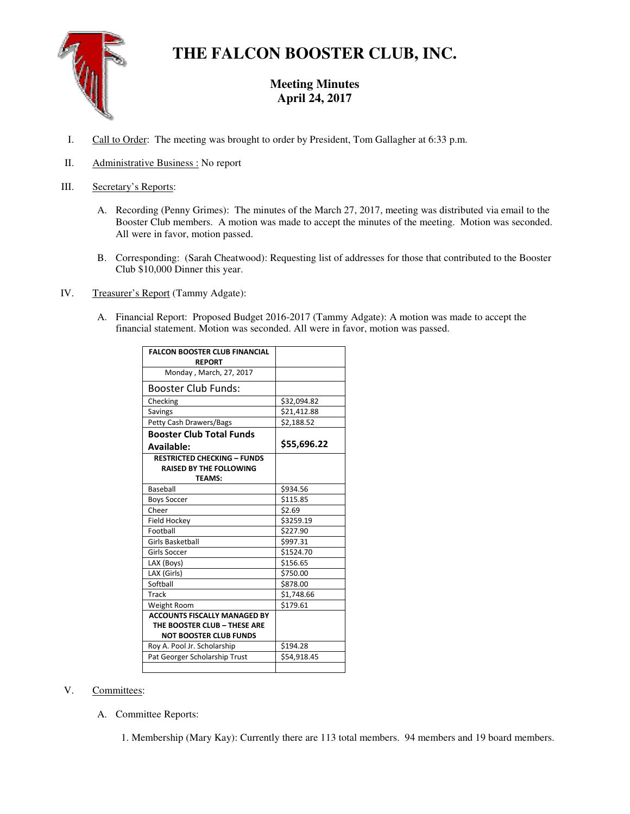# **THE FALCON BOOSTER CLUB, INC.**

## **Meeting Minutes April 24, 2017**

- I. Call to Order: The meeting was brought to order by President, Tom Gallagher at 6:33 p.m.
- II. Administrative Business : No report
- III. Secretary's Reports:
	- A. Recording (Penny Grimes): The minutes of the March 27, 2017, meeting was distributed via email to the Booster Club members. A motion was made to accept the minutes of the meeting. Motion was seconded. All were in favor, motion passed.
	- B. Corresponding: (Sarah Cheatwood): Requesting list of addresses for those that contributed to the Booster Club \$10,000 Dinner this year.
- IV. Treasurer's Report (Tammy Adgate):
	- A. Financial Report: Proposed Budget 2016-2017 (Tammy Adgate): A motion was made to accept the financial statement. Motion was seconded. All were in favor, motion was passed.

| <b>FALCON BOOSTER CLUB FINANCIAL</b><br><b>REPORT</b> |             |
|-------------------------------------------------------|-------------|
| Monday, March, 27, 2017                               |             |
| Booster Club Funds:                                   |             |
| Checking                                              | \$32,094.82 |
| Savings                                               | \$21,412.88 |
| <b>Petty Cash Drawers/Bags</b>                        | \$2,188.52  |
| <b>Booster Club Total Funds</b>                       |             |
| Available:                                            | \$55,696.22 |
| <b>RESTRICTED CHECKING - FUNDS</b>                    |             |
| <b>RAISED BY THE FOLLOWING</b>                        |             |
| <b>TEAMS:</b>                                         |             |
| <b>Baseball</b>                                       | \$934.56    |
| <b>Boys Soccer</b>                                    | \$115.85    |
| Cheer                                                 | \$2.69      |
| Field Hockey                                          | \$3259.19   |
| Football                                              | \$227.90    |
| <b>Girls Basketball</b>                               | \$997.31    |
| Girls Soccer                                          | \$1524.70   |
| LAX (Boys)                                            | \$156.65    |
| LAX (Girls)                                           | \$750.00    |
| Softball                                              | \$878.00    |
| Track                                                 | \$1,748.66  |
| Weight Room                                           | \$179.61    |
| <b>ACCOUNTS FISCALLY MANAGED BY</b>                   |             |
| THE BOOSTER CLUB - THESE ARE                          |             |
| <b>NOT BOOSTER CLUB FUNDS</b>                         |             |
| Roy A. Pool Jr. Scholarship                           | \$194.28    |
| Pat Georger Scholarship Trust                         | 554,918.45  |
|                                                       |             |

### V. Committees:

A. Committee Reports:

1. Membership (Mary Kay): Currently there are 113 total members. 94 members and 19 board members.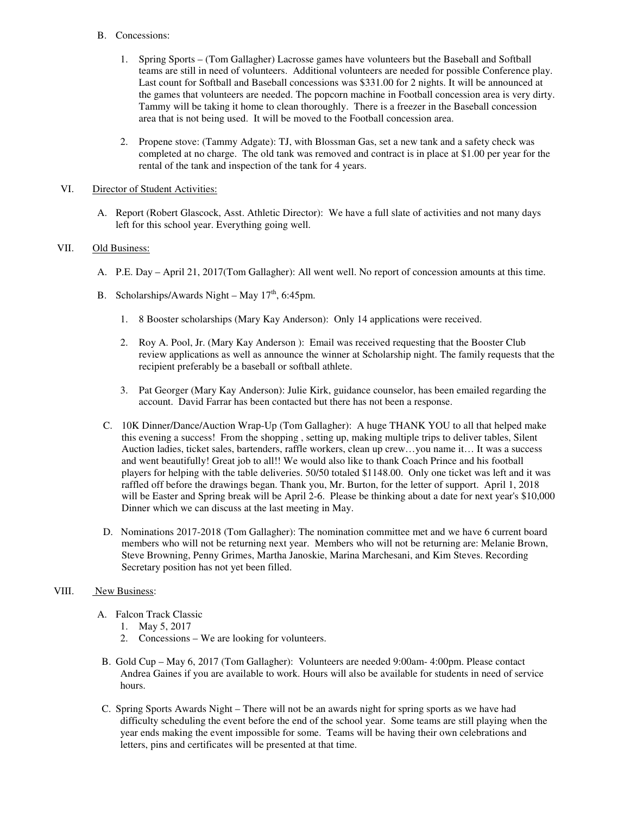#### B. Concessions:

- 1. Spring Sports (Tom Gallagher) Lacrosse games have volunteers but the Baseball and Softball teams are still in need of volunteers. Additional volunteers are needed for possible Conference play. Last count for Softball and Baseball concessions was \$331.00 for 2 nights. It will be announced at the games that volunteers are needed. The popcorn machine in Football concession area is very dirty. Tammy will be taking it home to clean thoroughly. There is a freezer in the Baseball concession area that is not being used. It will be moved to the Football concession area.
- 2. Propene stove: (Tammy Adgate): TJ, with Blossman Gas, set a new tank and a safety check was completed at no charge. The old tank was removed and contract is in place at \$1.00 per year for the rental of the tank and inspection of the tank for 4 years.

#### VI. Director of Student Activities:

A. Report (Robert Glascock, Asst. Athletic Director): We have a full slate of activities and not many days left for this school year. Everything going well.

#### VII. Old Business:

- A. P.E. Day April 21, 2017(Tom Gallagher): All went well. No report of concession amounts at this time.
- B. Scholarships/Awards Night May  $17<sup>th</sup>$ , 6:45pm.
	- 1. 8 Booster scholarships (Mary Kay Anderson): Only 14 applications were received.
	- 2. Roy A. Pool, Jr. (Mary Kay Anderson ): Email was received requesting that the Booster Club review applications as well as announce the winner at Scholarship night. The family requests that the recipient preferably be a baseball or softball athlete.
	- 3. Pat Georger (Mary Kay Anderson): Julie Kirk, guidance counselor, has been emailed regarding the account. David Farrar has been contacted but there has not been a response.
	- C. 10K Dinner/Dance/Auction Wrap-Up (Tom Gallagher): A huge THANK YOU to all that helped make this evening a success! From the shopping , setting up, making multiple trips to deliver tables, Silent Auction ladies, ticket sales, bartenders, raffle workers, clean up crew…you name it… It was a success and went beautifully! Great job to all!! We would also like to thank Coach Prince and his football players for helping with the table deliveries. 50/50 totaled \$1148.00. Only one ticket was left and it was raffled off before the drawings began. Thank you, Mr. Burton, for the letter of support. April 1, 2018 will be Easter and Spring break will be April 2-6. Please be thinking about a date for next year's \$10,000 Dinner which we can discuss at the last meeting in May.
- D. Nominations 2017-2018 (Tom Gallagher): The nomination committee met and we have 6 current board members who will not be returning next year. Members who will not be returning are: Melanie Brown, Steve Browning, Penny Grimes, Martha Janoskie, Marina Marchesani, and Kim Steves. Recording Secretary position has not yet been filled.

#### VIII. New Business:

- A. Falcon Track Classic
	- 1. May 5, 2017
	- 2. Concessions We are looking for volunteers.
- B. Gold Cup May 6, 2017 (Tom Gallagher): Volunteers are needed 9:00am- 4:00pm. Please contact Andrea Gaines if you are available to work. Hours will also be available for students in need of service hours.
- C. Spring Sports Awards Night There will not be an awards night for spring sports as we have had difficulty scheduling the event before the end of the school year. Some teams are still playing when the year ends making the event impossible for some. Teams will be having their own celebrations and letters, pins and certificates will be presented at that time.